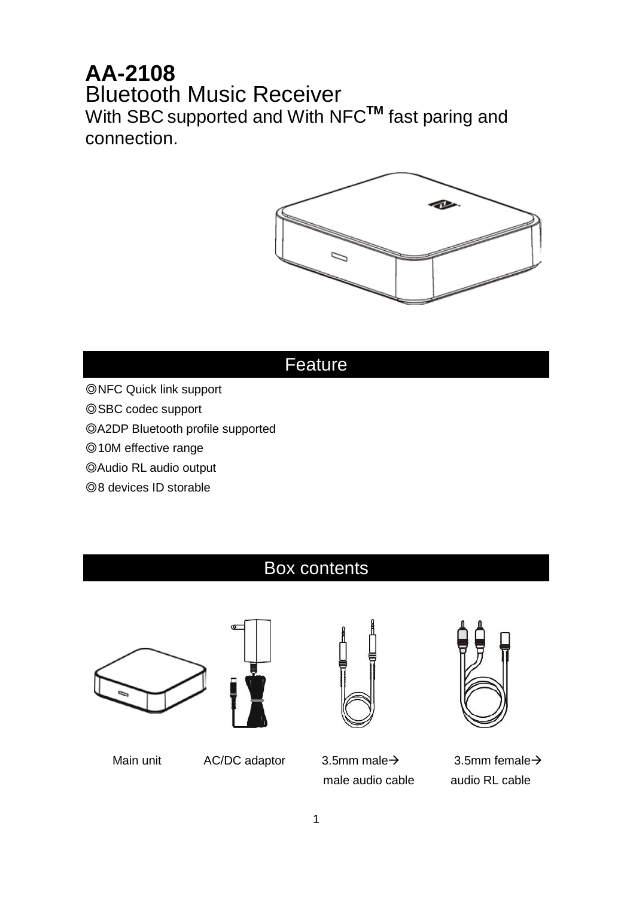## **AA-2108** Bluetooth Music Receiver With SBC supported and With NFC**TM** fast paring and connection.



## Feature

- ◎NFC Quick link support
- ◎SBC codec support
- ◎A2DP Bluetooth profile supported
- ◎10M effective range
- ◎Audio RL audio output
- ◎8 devices ID storable

## Box contents







Main unit  $AC/DC$  adaptor  $3.5$ mm male  $\rightarrow$   $3.5$ mm female  $\rightarrow$ male audio cable audio RL cable

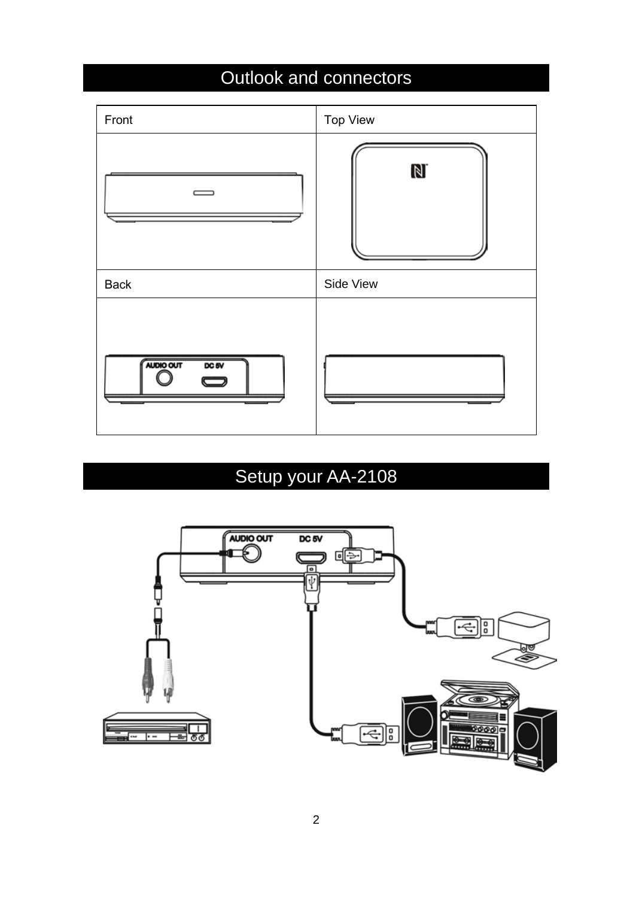## Outlook and connectors



# Setup your AA-2108

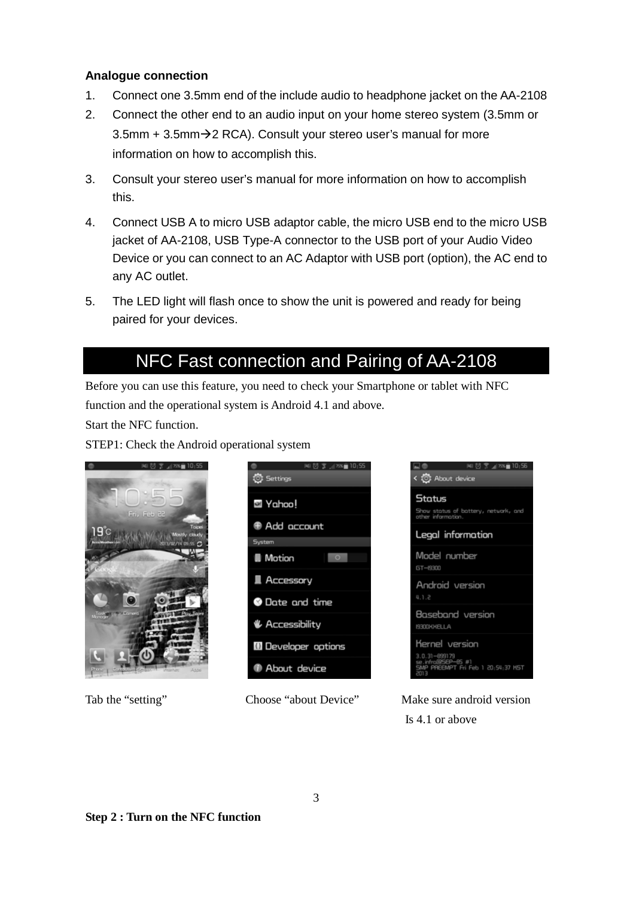### **Analogue connection**

- 1. Connect one 3.5mm end of the include audio to headphone jacket on the AA-2108
- 2. Connect the other end to an audio input on your home stereo system (3.5mm or 3.5mm  $+$  3.5mm $\rightarrow$  2 RCA). Consult your stereo user's manual for more information on how to accomplish this.
- 3. Consult your stereo user's manual for more information on how to accomplish this.
- 4. Connect USB A to micro USB adaptor cable, the micro USB end to the micro USB jacket of AA-2108, USB Type-A connector to the USB port of your Audio Video Device or you can connect to an AC Adaptor with USB port (option), the AC end to any AC outlet.
- 5. The LED light will flash once to show the unit is powered and ready for being paired for your devices.

## NFC Fast connection and Pairing of AA-2108

Before you can use this feature, you need to check your Smartphone or tablet with NFC function and the operational system is Android 4.1 and above.

Start the NFC function.

STEP1: Check the Android operational system









Tab the "setting" Choose "about Device" Make sure android version Is 4.1 or above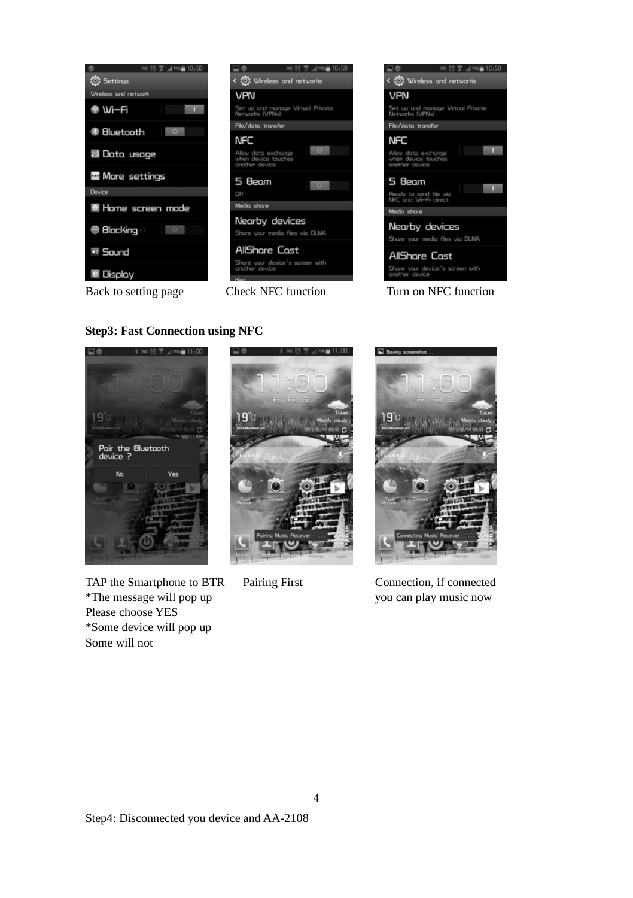

### **Step3: Fast Connection using NFC**



TAP the Smartphone to BTR Pairing First Connection, if connected \*The message will pop up you can play music now Please choose YES \*Some device will pop up Some will not



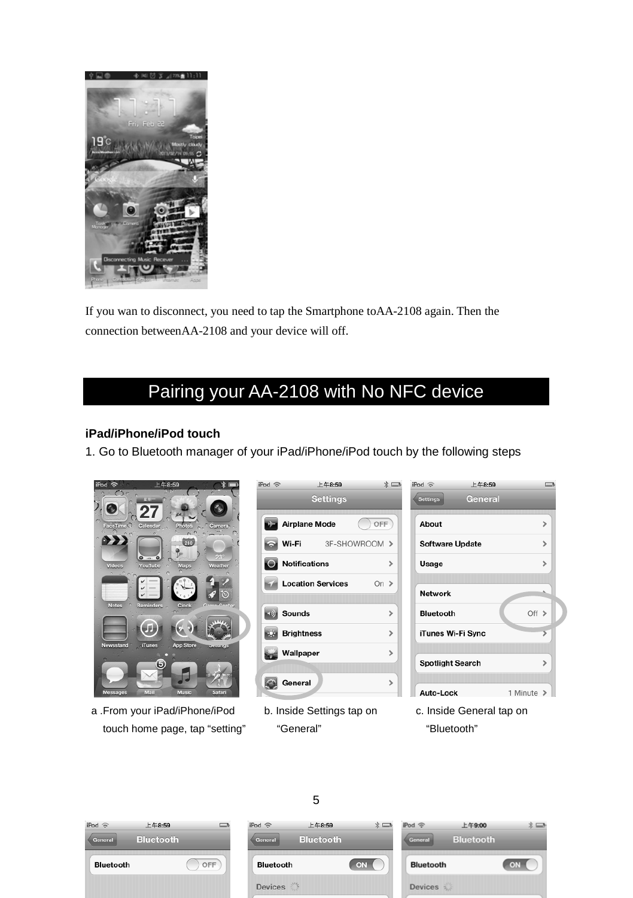

If you wan to disconnect, you need to tap the Smartphone toAA-2108 again. Then the connection betweenAA-2108 and your device will off.

# Pairing your AA-2108 with No NFC device

### **iPad/iPhone/iPod touch**

1. Go to Bluetooth manager of your iPad/iPhone/iPod touch by the following steps



a .From your iPad/iPhone/iPod touch home page, tap "setting"

| irog e  | 上十8.59                      | $\lambda$ $\equiv$ |
|---------|-----------------------------|--------------------|
|         | <b>Settings</b>             |                    |
|         | <b>Airplane Mode</b><br>OFF |                    |
| ç       | Wi-Fi 3F-SHOWROOM >         |                    |
| $\circ$ | <b>Notifications</b>        | ๖                  |
|         | <b>Location Services</b>    | On $\geq$          |
|         |                             |                    |
|         | Sounds                      | $\mathbf{r}$       |
| óн.     | <b>Brightness</b>           | $\mathcal{P}$      |
| È₩É     | Wallpaper                   | $\mathbf{\hat{}}$  |
|         | General                     | ٠                  |

b. Inside Settings tap on "General"

| iPod <sup>2</sup>       | 上午8:59  |            |               |  |
|-------------------------|---------|------------|---------------|--|
| Settings                | General |            |               |  |
| About                   |         |            | ⋟             |  |
| <b>Software Update</b>  |         |            | $\mathcal{P}$ |  |
| Usage                   |         |            | ๖             |  |
|                         |         |            |               |  |
| <b>Network</b>          |         |            |               |  |
| <b>Bluetooth</b>        |         | Off >      |               |  |
| iTunes Wi-Fi Sync       |         |            | ⋝             |  |
|                         |         |            |               |  |
| <b>Spotlight Search</b> |         |            | $\mathbf{r}$  |  |
|                         |         |            |               |  |
| Auto-Lock               |         | 1 Minute > |               |  |
|                         |         |            |               |  |

c. Inside General tap on "Bluetooth"







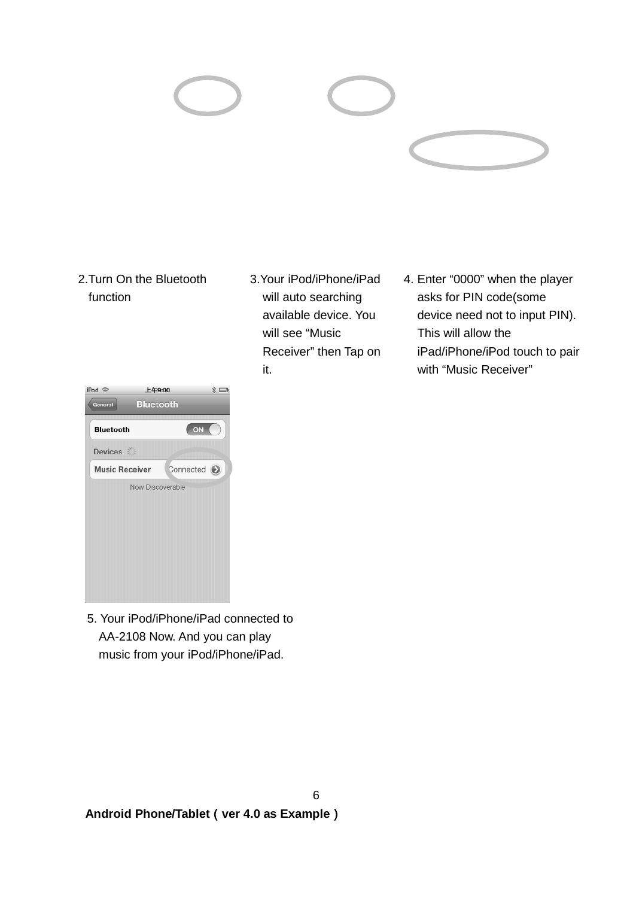### 2.Turn On the Bluetooth function

| iPod 令                | 上午9:00           |             | $*$ |
|-----------------------|------------------|-------------|-----|
| General               | <b>Bluetooth</b> |             |     |
| <b>Bluetooth</b>      |                  | ON          |     |
| Devices               |                  |             |     |
| <b>Music Receiver</b> |                  | Connected 2 |     |
|                       | Now Discoverable |             |     |
|                       |                  |             |     |
|                       |                  |             |     |
|                       |                  |             |     |
|                       |                  |             |     |
|                       |                  |             |     |

3.Your iPod/iPhone/iPad will auto searching available device. You will see "Music Receiver" then Tap on it.

6

4. Enter "0000" when the player asks for PIN code(some device need not to input PIN). This will allow the iPad/iPhone/iPod touch to pair with "Music Receiver"

5. Your iPod/iPhone/iPad connected to AA-2108 Now. And you can play music from your iPod/iPhone/iPad.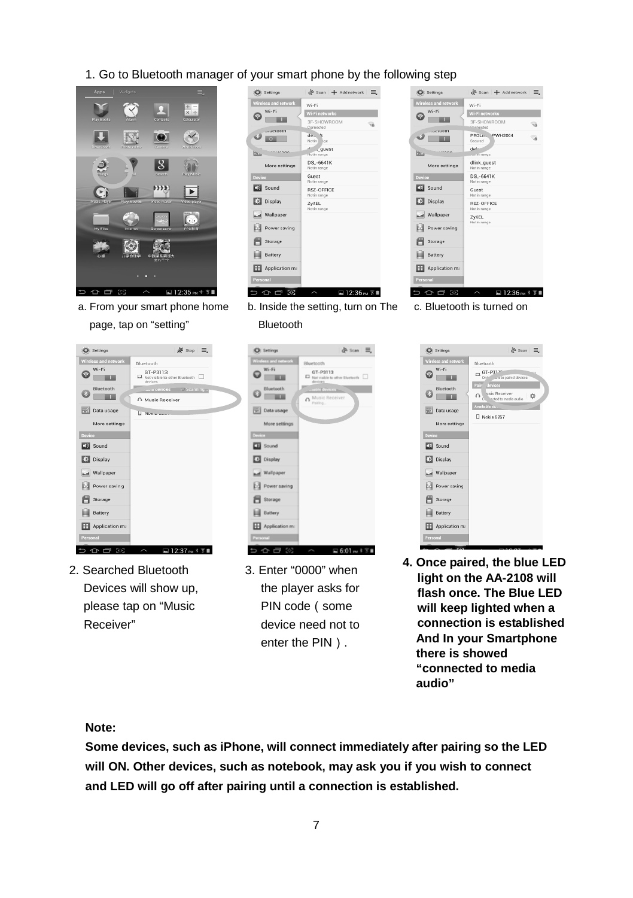### 1. Go to Bluetooth manager of your smart phone by the following step



a. From your smart phone home page, tap on "setting"

| Wireless and network<br>Wi-Fi | Wi-Fi<br>Wi-Fi networks<br>3F-SHOWROOM |
|-------------------------------|----------------------------------------|
|                               |                                        |
|                               | ۹ň<br>Connected                        |
| -uetooth<br>o                 | $d\rho_1$ , It<br>Not in Ige           |
| b.                            | اللافع<br>. quest<br>Not in range      |
| More settings                 | DSL-6641K<br>Not in range              |
| Device                        | Guest<br>Not in range                  |
| <b>B</b> Sound                | <b>RSZ-OFFICE</b><br>Not in range      |
| Display                       | ZyXEL<br>Not in range                  |
| Mallpaper                     |                                        |
| Power saving                  |                                        |
| Storage                       |                                        |
| Battery                       |                                        |
| Application ma                |                                        |
| Personal                      |                                        |

b. Inside the setting, turn on The Bluetooth

 $\partial$  scan  $\equiv$ .



c. Bluetooth is turned on



- 2. Searched Bluetooth Devices will show up, please tap on "Music Receiver"
- O serings Windows and a Dispostmantin  $\begin{array}{r} \text{Bluetcooth} \\ \begin{array}{r} \text{GT-P3113} \\ \text{Biociniche to} \end{array} \end{array}$  $W_2$  $\circ$   $\overline{\quad}$   $\overline{\quad}$  $\bigcirc$   $\frac{B}{\sqrt{2}}$  $n^{\text{Mus}}$ **BET** Data usage More settings  $E<sub>0</sub>$  Sound **Ed** Display Wallpaper **B** Power saving **目** Storage **Ell** Battery Application m  $0.5101 - 0.210$
- 3. Enter "0000" when the player asks for PIN code (some device need not to enter the PIN).

| C Settings                                                                        | $\frac{a}{a^2}$ Scan $\equiv$                                                                                                                                                                        |
|-----------------------------------------------------------------------------------|------------------------------------------------------------------------------------------------------------------------------------------------------------------------------------------------------|
| <b>Wireless and network</b><br>Wi-Fi<br>Rluetooth                                 | Bluetooth<br>$\Box$ GT-P311n<br>- to paired devices<br>Only<br>Pairr Jevices<br>$\bigcap_{\text{cyclic Receiver}} \frac{1}{2\sqrt{2}} \bigcap_{\text{cutoff to median} } \frac{1}{2}$<br>Available o |
| Data usage<br>More settings<br><b>Device</b><br><b>CB</b> Sound<br><b>Display</b> | $\Box$ Nokia 6267                                                                                                                                                                                    |
| Mallpaper<br>Power saving<br>Storage<br>Battery<br>Application ma<br>Personal     |                                                                                                                                                                                                      |

**4. Once paired, the blue LED light on the AA-2108 will flash once. The Blue LED will keep lighted when a connection is established And In your Smartphone there is showed "connected to media audio"**

### **Note:**

**Some devices, such as iPhone, will connect immediately after pairing so the LED will ON. Other devices, such as notebook, may ask you if you wish to connect and LED will go off after pairing until a connection is established.**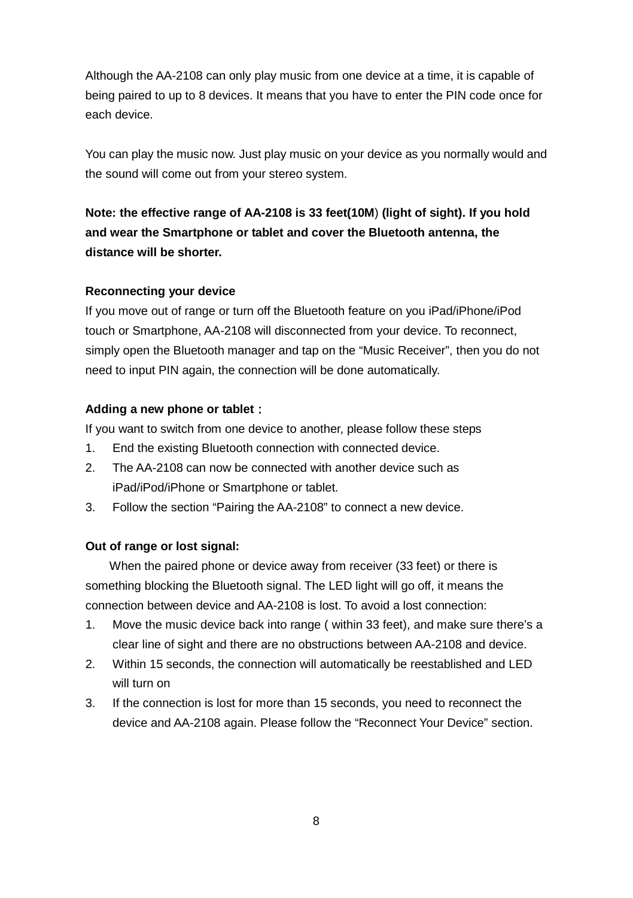Although the AA-2108 can only play music from one device at a time, it is capable of being paired to up to 8 devices. It means that you have to enter the PIN code once for each device.

You can play the music now. Just play music on your device as you normally would and the sound will come out from your stereo system.

**Note: the effective range of AA-2108 is 33 feet(10M**) **(light of sight). If you hold and wear the Smartphone or tablet and cover the Bluetooth antenna, the distance will be shorter.**

### **Reconnecting your device**

If you move out of range or turn off the Bluetooth feature on you iPad/iPhone/iPod touch or Smartphone, AA-2108 will disconnected from your device. To reconnect, simply open the Bluetooth manager and tap on the "Music Receiver", then you do not need to input PIN again, the connection will be done automatically.

### **Adding a new phone or tablet**:

If you want to switch from one device to another, please follow these steps

- 1. End the existing Bluetooth connection with connected device.
- 2. The AA-2108 can now be connected with another device such as iPad/iPod/iPhone or Smartphone or tablet.
- 3. Follow the section "Pairing the AA-2108" to connect a new device.

### **Out of range or lost signal:**

When the paired phone or device away from receiver (33 feet) or there is something blocking the Bluetooth signal. The LED light will go off, it means the connection between device and AA-2108 is lost. To avoid a lost connection:

- 1. Move the music device back into range ( within 33 feet), and make sure there's a clear line of sight and there are no obstructions between AA-2108 and device.
- 2. Within 15 seconds, the connection will automatically be reestablished and LED will turn on
- 3. If the connection is lost for more than 15 seconds, you need to reconnect the device and AA-2108 again. Please follow the "Reconnect Your Device" section.